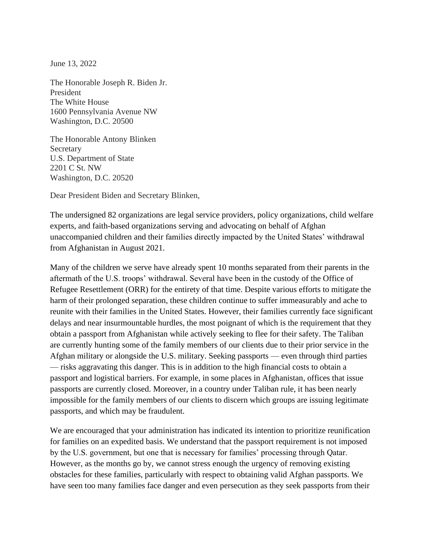June 13, 2022

The Honorable Joseph R. Biden Jr. President The White House 1600 Pennsylvania Avenue NW Washington, D.C. 20500

The Honorable Antony Blinken Secretary U.S. Department of State 2201 C St. NW Washington, D.C. 20520

Dear President Biden and Secretary Blinken,

The undersigned 82 organizations are legal service providers, policy organizations, child welfare experts, and faith-based organizations serving and advocating on behalf of Afghan unaccompanied children and their families directly impacted by the United States' withdrawal from Afghanistan in August 2021.

Many of the children we serve have already spent 10 months separated from their parents in the aftermath of the U.S. troops' withdrawal. Several have been in the custody of the Office of Refugee Resettlement (ORR) for the entirety of that time. Despite various efforts to mitigate the harm of their prolonged separation, these children continue to suffer immeasurably and ache to reunite with their families in the United States. However, their families currently face significant delays and near insurmountable hurdles, the most poignant of which is the requirement that they obtain a passport from Afghanistan while actively seeking to flee for their safety. The Taliban are currently hunting some of the family members of our clients due to their prior service in the Afghan military or alongside the U.S. military. Seeking passports — even through third parties — risks aggravating this danger. This is in addition to the high financial costs to obtain a passport and logistical barriers. For example, in some places in Afghanistan, offices that issue passports are currently closed. Moreover, in a country under Taliban rule, it has been nearly impossible for the family members of our clients to discern which groups are issuing legitimate passports, and which may be fraudulent.

We are encouraged that your administration has indicated its intention to prioritize reunification for families on an expedited basis. We understand that the passport requirement is not imposed by the U.S. government, but one that is necessary for families' processing through Qatar. However, as the months go by, we cannot stress enough the urgency of removing existing obstacles for these families, particularly with respect to obtaining valid Afghan passports. We have seen too many families face danger and even persecution as they seek passports from their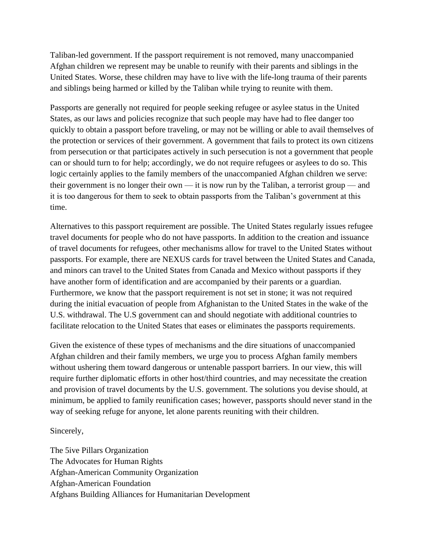Taliban-led government. If the passport requirement is not removed, many unaccompanied Afghan children we represent may be unable to reunify with their parents and siblings in the United States. Worse, these children may have to live with the life-long trauma of their parents and siblings being harmed or killed by the Taliban while trying to reunite with them.

Passports are generally not required for people seeking refugee or asylee status in the United States, as our laws and policies recognize that such people may have had to flee danger too quickly to obtain a passport before traveling, or may not be willing or able to avail themselves of the protection or services of their government. A government that fails to protect its own citizens from persecution or that participates actively in such persecution is not a government that people can or should turn to for help; accordingly, we do not require refugees or asylees to do so. This logic certainly applies to the family members of the unaccompanied Afghan children we serve: their government is no longer their own — it is now run by the Taliban, a terrorist group — and it is too dangerous for them to seek to obtain passports from the Taliban's government at this time.

Alternatives to this passport requirement are possible. The United States regularly issues refugee travel documents for people who do not have passports. In addition to the creation and issuance of travel documents for refugees, other mechanisms allow for travel to the United States without passports. For example, there are NEXUS cards for travel between the United States and Canada, and minors can travel to the United States from Canada and Mexico without passports if they have another form of identification and are accompanied by their parents or a guardian. Furthermore, we know that the passport requirement is not set in stone; it was not required during the initial evacuation of people from Afghanistan to the United States in the wake of the U.S. withdrawal. The U.S government can and should negotiate with additional countries to facilitate relocation to the United States that eases or eliminates the passports requirements.

Given the existence of these types of mechanisms and the dire situations of unaccompanied Afghan children and their family members, we urge you to process Afghan family members without ushering them toward dangerous or untenable passport barriers. In our view, this will require further diplomatic efforts in other host/third countries, and may necessitate the creation and provision of travel documents by the U.S. government. The solutions you devise should, at minimum, be applied to family reunification cases; however, passports should never stand in the way of seeking refuge for anyone, let alone parents reuniting with their children.

## Sincerely,

The 5ive Pillars Organization The Advocates for Human Rights Afghan-American Community Organization Afghan-American Foundation Afghans Building Alliances for Humanitarian Development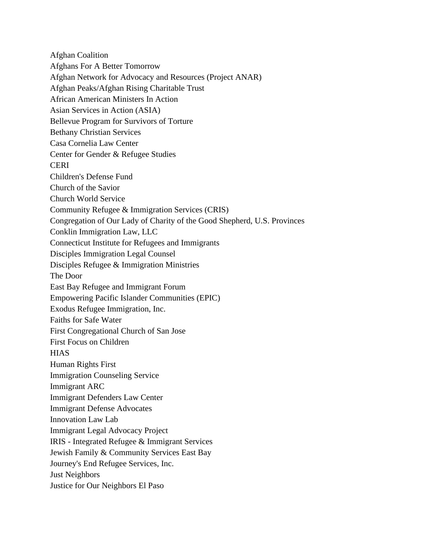Afghan Coalition Afghans For A Better Tomorrow Afghan Network for Advocacy and Resources (Project ANAR) Afghan Peaks/Afghan Rising Charitable Trust African American Ministers In Action Asian Services in Action (ASIA) Bellevue Program for Survivors of Torture Bethany Christian Services Casa Cornelia Law Center Center for Gender & Refugee Studies **CERI** Children's Defense Fund Church of the Savior Church World Service Community Refugee & Immigration Services (CRIS) Congregation of Our Lady of Charity of the Good Shepherd, U.S. Provinces Conklin Immigration Law, LLC Connecticut Institute for Refugees and Immigrants Disciples Immigration Legal Counsel Disciples Refugee & Immigration Ministries The Door East Bay Refugee and Immigrant Forum Empowering Pacific Islander Communities (EPIC) Exodus Refugee Immigration, Inc. Faiths for Safe Water First Congregational Church of San Jose First Focus on Children **HIAS** Human Rights First Immigration Counseling Service Immigrant ARC Immigrant Defenders Law Center Immigrant Defense Advocates Innovation Law Lab Immigrant Legal Advocacy Project IRIS - Integrated Refugee & Immigrant Services Jewish Family & Community Services East Bay Journey's End Refugee Services, Inc. Just Neighbors Justice for Our Neighbors El Paso